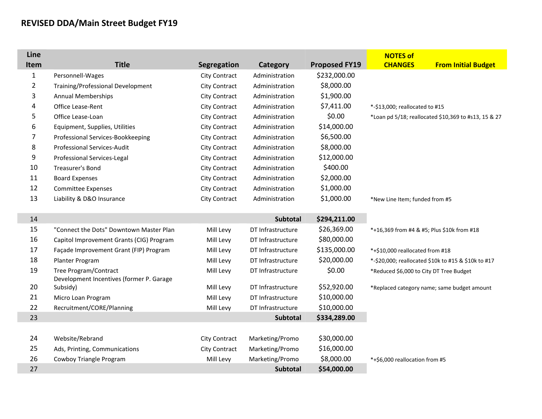## **REVISED DDA/Main Street Budget FY19**

П

F

П

| Line           |                                                                   |               |                   |                      | <b>NOTES of</b>                                      |
|----------------|-------------------------------------------------------------------|---------------|-------------------|----------------------|------------------------------------------------------|
| Item           | <b>Title</b>                                                      | Segregation   | Category          | <b>Proposed FY19</b> | <b>CHANGES</b><br><b>From Initial Budget</b>         |
| $\mathbf{1}$   | Personnell-Wages                                                  | City Contract | Administration    | \$232,000.00         |                                                      |
| $\overline{2}$ | Training/Professional Development                                 | City Contract | Administration    | \$8,000.00           |                                                      |
| 3              | <b>Annual Memberships</b>                                         | City Contract | Administration    | \$1,900.00           |                                                      |
| 4              | Office Lease-Rent                                                 | City Contract | Administration    | \$7,411.00           | *-\$13,000; reallocated to #15                       |
| 5              | Office Lease-Loan                                                 | City Contract | Administration    | \$0.00               | *Loan pd 5/18; reallocated \$10,369 to #s13, 15 & 27 |
| 6              | Equipment, Supplies, Utilities                                    | City Contract | Administration    | \$14,000.00          |                                                      |
| 7              | Professional Services-Bookkeeping                                 | City Contract | Administration    | \$6,500.00           |                                                      |
| 8              | Professional Services-Audit                                       | City Contract | Administration    | \$8,000.00           |                                                      |
| 9              | Professional Services-Legal                                       | City Contract | Administration    | \$12,000.00          |                                                      |
| 10             | Treasurer's Bond                                                  | City Contract | Administration    | \$400.00             |                                                      |
| 11             | <b>Board Expenses</b>                                             | City Contract | Administration    | \$2,000.00           |                                                      |
| 12             | <b>Committee Expenses</b>                                         | City Contract | Administration    | \$1,000.00           |                                                      |
| 13             | Liability & D&O Insurance                                         | City Contract | Administration    | \$1,000.00           | *New Line Item; funded from #5                       |
| 14             |                                                                   |               | <b>Subtotal</b>   | \$294,211.00         |                                                      |
| 15             | "Connect the Dots" Downtown Master Plan                           | Mill Levy     | DT Infrastructure | \$26,369.00          | *+16,369 from #4 & #5; Plus \$10k from #18           |
| 16             | Capitol Improvement Grants (CIG) Program                          | Mill Levy     | DT Infrastructure | \$80,000.00          |                                                      |
| 17             | Façade Improvement Grant (FIP) Program                            | Mill Levy     | DT Infrastructure | \$135,000.00         | *+\$10,000 reallocated from #18                      |
| 18             | Planter Program                                                   | Mill Levy     | DT Infrastructure | \$20,000.00          | *-\$20,000; reallocated \$10k to #15 & \$10k to #17  |
| 19             | Tree Program/Contract<br>Development Incentives (former P. Garage | Mill Levy     | DT Infrastructure | \$0.00               | *Reduced \$6,000 to City DT Tree Budget              |
| 20             | Subsidy)                                                          | Mill Levy     | DT Infrastructure | \$52,920.00          | *Replaced category name; same budget amount          |
| 21             | Micro Loan Program                                                | Mill Levy     | DT Infrastructure | \$10,000.00          |                                                      |
| 22             | Recruitment/CORE/Planning                                         | Mill Levy     | DT Infrastructure | \$10,000.00          |                                                      |
| 23             |                                                                   |               | Subtotal          | \$334,289.00         |                                                      |
|                |                                                                   |               |                   |                      |                                                      |
| 24             | Website/Rebrand                                                   | City Contract | Marketing/Promo   | \$30,000.00          |                                                      |
| 25             | Ads, Printing, Communications                                     | City Contract | Marketing/Promo   | \$16,000.00          |                                                      |
| 26             | Cowboy Triangle Program                                           | Mill Levy     | Marketing/Promo   | \$8,000.00           | *+\$6,000 reallocation from #5                       |
| 27             |                                                                   |               | <b>Subtotal</b>   | \$54,000.00          |                                                      |